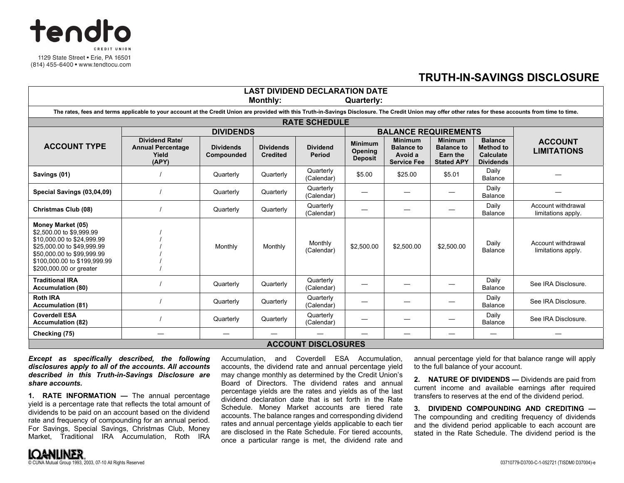

## **TRUTH-IN-SAVINGS DISCLOSURE**

| <b>LAST DIVIDEND DECLARATION DATE</b>                                                                                                                                                                     |                                                                     |                                |                                     |                                  |                                             |                                                                      |                                                                      |                                                                     |                                          |
|-----------------------------------------------------------------------------------------------------------------------------------------------------------------------------------------------------------|---------------------------------------------------------------------|--------------------------------|-------------------------------------|----------------------------------|---------------------------------------------|----------------------------------------------------------------------|----------------------------------------------------------------------|---------------------------------------------------------------------|------------------------------------------|
| <b>Monthly:</b><br>Quarterly:                                                                                                                                                                             |                                                                     |                                |                                     |                                  |                                             |                                                                      |                                                                      |                                                                     |                                          |
| The rates, fees and terms applicable to your account at the Credit Union are provided with this Truth-in-Savings Disclosure. The Credit Union may offer other rates for these accounts from time to time. |                                                                     |                                |                                     |                                  |                                             |                                                                      |                                                                      |                                                                     |                                          |
| <b>RATE SCHEDULE</b>                                                                                                                                                                                      |                                                                     |                                |                                     |                                  |                                             |                                                                      |                                                                      |                                                                     |                                          |
|                                                                                                                                                                                                           | <b>DIVIDENDS</b>                                                    |                                |                                     |                                  | <b>BALANCE REQUIREMENTS</b>                 |                                                                      |                                                                      |                                                                     |                                          |
| <b>ACCOUNT TYPE</b>                                                                                                                                                                                       | <b>Dividend Rate/</b><br><b>Annual Percentage</b><br>Yield<br>(APY) | <b>Dividends</b><br>Compounded | <b>Dividends</b><br><b>Credited</b> | <b>Dividend</b><br><b>Period</b> | <b>Minimum</b><br>Opening<br><b>Deposit</b> | <b>Minimum</b><br><b>Balance to</b><br>Avoid a<br><b>Service Fee</b> | <b>Minimum</b><br><b>Balance to</b><br>Earn the<br><b>Stated APY</b> | <b>Balance</b><br><b>Method to</b><br>Calculate<br><b>Dividends</b> | <b>ACCOUNT</b><br><b>LIMITATIONS</b>     |
| Savings (01)                                                                                                                                                                                              |                                                                     | Quarterly                      | Quarterly                           | Quarterly<br>(Calendar)          | \$5.00                                      | \$25.00                                                              | \$5.01                                                               | Daily<br>Balance                                                    |                                          |
| Special Savings (03,04,09)                                                                                                                                                                                |                                                                     | Quarterly                      | Quarterly                           | Quarterly<br>(Calendar)          |                                             |                                                                      |                                                                      | Daily<br><b>Balance</b>                                             |                                          |
| Christmas Club (08)                                                                                                                                                                                       |                                                                     | Quarterly                      | Quarterly                           | Quarterly<br>(Calendar)          |                                             |                                                                      |                                                                      | Daily<br><b>Balance</b>                                             | Account withdrawal<br>limitations apply. |
| Money Market (05)<br>\$2,500,00 to \$9,999.99<br>\$10,000.00 to \$24,999.99<br>\$25,000.00 to \$49,999.99<br>\$50,000.00 to \$99,999.99<br>\$100,000.00 to \$199,999.99<br>\$200,000.00 or greater        |                                                                     | Monthly                        | Monthly                             | Monthly<br>(Calendar)            | \$2,500.00                                  | \$2,500.00                                                           | \$2,500.00                                                           | Daily<br><b>Balance</b>                                             | Account withdrawal<br>limitations apply. |
| <b>Traditional IRA</b><br><b>Accumulation (80)</b>                                                                                                                                                        |                                                                     | Quarterly                      | Quarterly                           | Quarterly<br>(Calendar)          |                                             |                                                                      |                                                                      | Daily<br>Balance                                                    | See IRA Disclosure.                      |
| <b>Roth IRA</b><br><b>Accumulation (81)</b>                                                                                                                                                               |                                                                     | Quarterly                      | Quarterly                           | Quarterly<br>(Calendar)          |                                             |                                                                      |                                                                      | Daily<br>Balance                                                    | See IRA Disclosure.                      |
| <b>Coverdell ESA</b><br><b>Accumulation (82)</b>                                                                                                                                                          |                                                                     | Quarterly                      | Quarterly                           | Quarterly<br>(Calendar)          |                                             |                                                                      |                                                                      | Daily<br>Balance                                                    | See IRA Disclosure.                      |
| Checking (75)                                                                                                                                                                                             |                                                                     |                                |                                     |                                  |                                             |                                                                      |                                                                      |                                                                     |                                          |
| <b>ACCOUNT DISCLOSURES</b>                                                                                                                                                                                |                                                                     |                                |                                     |                                  |                                             |                                                                      |                                                                      |                                                                     |                                          |

*Except as specifically described, the following disclosures apply to all of the accounts. All accounts described in this Truth-in-Savings Disclosure are share accounts.* 

**1. RATE INFORMATION —** The annual percentage yield is a percentage rate that reflects the total amount of dividends to be paid on an account based on the dividend rate and frequency of compounding for an annual period. For Savings, Special Savings, Christmas Club, Money Market, Traditional IRA Accumulation, Roth IRA

Accumulation, and Coverdell ESA Accumulation, accounts, the dividend rate and annual percentage yield may change monthly as determined by the Credit Union's Board of Directors. The dividend rates and annual percentage yields are the rates and yields as of the last dividend declaration date that is set forth in the Rate Schedule. Money Market accounts are tiered rate accounts. The balance ranges and corresponding dividend rates and annual percentage yields applicable to each tier are disclosed in the Rate Schedule. For tiered accounts, once a particular range is met, the dividend rate and

annual percentage yield for that balance range will apply to the full balance of your account.

**2. NATURE OF DIVIDENDS —** Dividends are paid from current income and available earnings after required transfers to reserves at the end of the dividend period.

**3. DIVIDEND COMPOUNDING AND CREDITING —** The compounding and crediting frequency of dividends and the dividend period applicable to each account are stated in the Rate Schedule. The dividend period is the